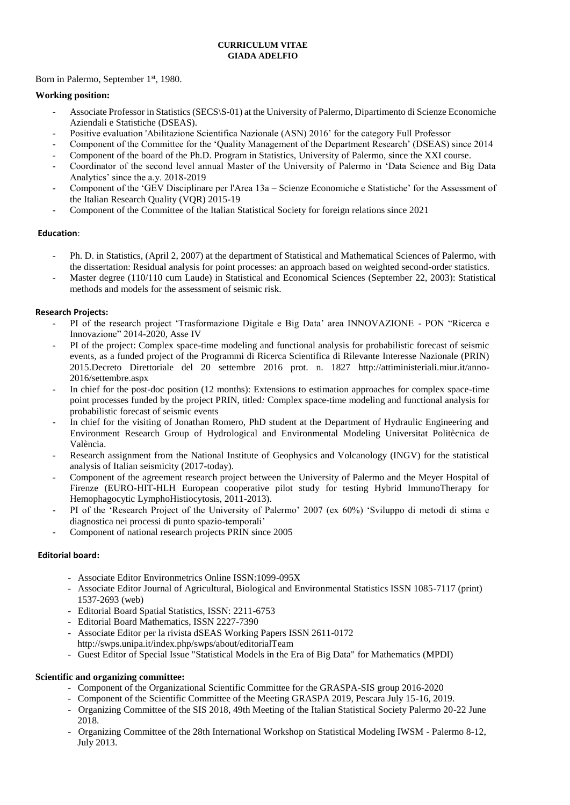### **CURRICULUM VITAE GIADA ADELFIO**

Born in Palermo, September 1<sup>st</sup>, 1980.

## **Working position:**

- Associate Professor in Statistics (SECS\S-01) at the University of Palermo, Dipartimento di Scienze Economiche Aziendali e Statistiche (DSEAS).
- Positive evaluation 'Abilitazione Scientifica Nazionale (ASN) 2016' for the category Full Professor
- Component of the Committee for the 'Quality Management of the Department Research' (DSEAS) since 2014
- Component of the board of the Ph.D. Program in Statistics, University of Palermo, since the XXI course.
- Coordinator of the second level annual Master of the University of Palermo in 'Data Science and Big Data Analytics' since the a.y. 2018-2019
- Component of the 'GEV Disciplinare per l'Area 13a Scienze Economiche e Statistiche' for the Assessment of the Italian Research Quality (VQR) 2015-19
- Component of the Committee of the Italian Statistical Society for foreign relations since 2021

## **Education**:

- Ph. D. in Statistics, (April 2, 2007) at the department of Statistical and Mathematical Sciences of Palermo, with the dissertation: Residual analysis for point processes: an approach based on weighted second-order statistics.
- Master degree (110/110 cum Laude) in Statistical and Economical Sciences (September 22, 2003): Statistical methods and models for the assessment of seismic risk.

## **Research Projects:**

- PI of the research project 'Trasformazione Digitale e Big Data' area INNOVAZIONE PON "Ricerca e Innovazione" 2014-2020, Asse IV
- PI of the project: Complex space-time modeling and functional analysis for probabilistic forecast of seismic events, as a funded project of the Programmi di Ricerca Scientifica di Rilevante Interesse Nazionale (PRIN) 201[5.Decreto Direttoriale del 20](http://attiministeriali.miur.it/anno-2016/settembre/dd-20092016-(1).aspx) [settembre 2016 prot. n. 1827](http://attiministeriali.miur.it/anno-2016/settembre/dd-20092016-(1).aspx) [http://attiministeriali.miur.it/anno-](http://attiministeriali.miur.it/anno-2016/settembre.aspx)[2016/settembre.aspx](http://attiministeriali.miur.it/anno-2016/settembre.aspx)
- In chief for the post-doc position (12 months): Extensions to estimation approaches for complex space-time point processes funded by the project PRIN, titled*:* Complex space-time modeling and functional analysis for probabilistic forecast of seismic events
- In chief for the visiting of Jonathan Romero, PhD student at the Department of Hydraulic Engineering and Environment Research Group of Hydrological and Environmental Modeling Universitat Politècnica de València.
- Research assignment from the National Institute of Geophysics and Volcanology (INGV) for the statistical analysis of Italian seismicity (2017-today).
- Component of the agreement research project between the University of Palermo and the Meyer Hospital of Firenze (EURO-HIT-HLH European cooperative pilot study for testing Hybrid ImmunoTherapy for Hemophagocytic LymphoHistiocytosis, 2011-2013).
- PI of the 'Research Project of the University of Palermo' 2007 (ex 60%) 'Sviluppo di metodi di stima e diagnostica nei processi di punto spazio-temporali'
- Component of national research projects PRIN since 2005

## **Editorial board:**

- Associate Editor Environmetrics Online ISSN:1099-095X
- Associate Editor Journal of Agricultural, Biological and Environmental Statistics ISSN 1085-7117 (print) 1537-2693 (web)
- Editorial Board Spatial Statistics, ISSN: 2211-6753
- Editorial Board Mathematics, ISSN 2227-7390
- Associate Editor per la rivista dSEAS Working Papers ISSN 2611-017[2](http://swps.unipa.it/index.php/swps/about/editorialTeam) <http://swps.unipa.it/index.php/swps/about/editorialTeam>
- Guest Editor of Special Issue "Statistical Models in the Era of Big Data" for Mathematics (MPDI)

## **Scientific and organizing committee:**

- Component of the Organizational Scientific Committee for the GRASPA-SIS group 2016-2020
- Component of the Scientific Committee of the Meeting GRASPA 2019, Pescara July 15-16, 2019.
- Organizing Committee of the SIS 2018, 49th Meeting of the Italian Statistical Society Palermo 20-22 June 2018.
- Organizing Committee of the 28th International Workshop on Statistical Modeling IWSM Palermo 8-12, July 2013.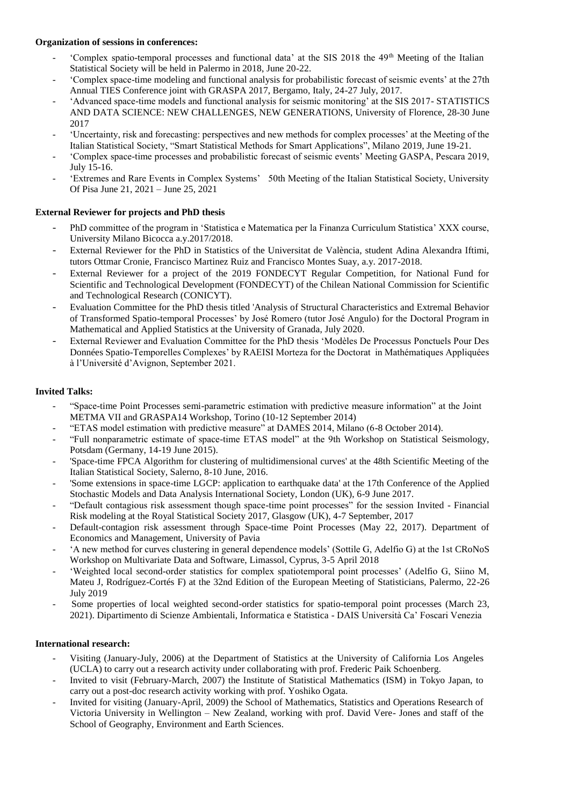### **Organization of sessions in conferences:**

- 'Complex spatio-temporal processes and functional data' at the SIS 2018 the 49<sup>th</sup> Meeting of the Italian Statistical Society will be held in Palermo in 2018, June 20-22.
- 'Complex space-time modeling and functional analysis for probabilistic forecast of seismic events' at the 27th Annual TIES Conference joint with GRASPA 2017, Bergamo, Italy, 24-27 July, 2017.
- 'Advanced space-time models and functional analysis for seismic monitoring' at the SIS 2017- STATISTICS AND DATA SCIENCE: NEW CHALLENGES, NEW GENERATIONS, University of Florence, 28-30 June 2017
- 'Uncertainty, risk and forecasting: perspectives and new methods for complex processes' at the Meeting of the Italian Statistical Society, "Smart Statistical Methods for Smart Applications", Milano 2019, June 19-21.
- 'Complex space-time processes and probabilistic forecast of seismic events' Meeting GASPA, Pescara 2019, July 15-16.
- 'Extremes and Rare Events in Complex Systems' 50th Meeting of the Italian Statistical Society, University Of Pisa June 21, 2021 – June 25, 2021

## **External Reviewer for projects and PhD thesis**

- PhD committee of the program in 'Statistica e Matematica per la Finanza Curriculum Statistica' XXX course, University Milano Bicocca a.y.2017/2018.
- External Reviewer for the PhD in Statistics of the Universitat de València, student Adina Alexandra Iftimi, tutors Ottmar Cronie, Francisco Martinez Ruiz and Francisco Montes Suay, a.y. 2017-2018.
- External Reviewer for a project of the 2019 FONDECYT Regular Competition, for National Fund for Scientific and Technological Development (FONDECYT) of the Chilean National Commission for Scientific and Technological Research (CONICYT).
- Evaluation Committee for the PhD thesis titled 'Analysis of Structural Characteristics and Extremal Behavior of Transformed Spatio-temporal Processes' by José Romero (tutor José Angulo) for the Doctoral Program in Mathematical and Applied Statistics at the University of Granada, July 2020.
- External Reviewer and Evaluation Committee for the PhD thesis 'Modèles De Processus Ponctuels Pour Des Données Spatio-Temporelles Complexes' by RAEISI Morteza for the Doctorat in Mathématiques Appliquées à l'Université d'Avignon, September 2021.

# **Invited Talks:**

- "Space-time Point Processes semi-parametric estimation with predictive measure information" at the Joint METMA VII and GRASPA14 Workshop, Torino (10-12 September 2014)
- "ETAS model estimation with predictive measure" at DAMES 2014, Milano (6-8 October 2014).
- "Full nonparametric estimate of space-time ETAS model" at the 9th [Workshop on Statistical Seismology,](https://statsei9.quake.gfz-potsdam.de/doku.php?id=start) Potsdam (Germany, 14-19 June 2015).
- 'Space-time FPCA Algorithm for clustering of multidimensional curves' at the 48th Scientific Meeting of the Italian Statistical Society, Salerno, 8-10 June, 2016.
- 'Some extensions in space-time LGCP: application to earthquake data' at the 17th Conference of the Applied Stochastic Models and Data Analysis International Society, London (UK), 6-9 June 2017.
- "Default contagious risk assessment though space-time point processes" for the session Invited [Financial](https://events.rss.org.uk/rss/system/proweb/start.csp?pageID=39175)  [Risk modeling](https://events.rss.org.uk/rss/system/proweb/start.csp?pageID=39175) at the Royal Statistical Society 2017, Glasgow (UK), 4-7 September, 2017
- Default-contagion risk assessment through Space-time Point Processes (May 22, 2017). Department of Economics and Management, University of Pavia
- 'A new method for curves clustering in general dependence models' (Sottile G, Adelfio G) at the 1st [CRoNoS](http://www.cronosaction.com/) Workshop on Multivariate Data and Software, Limassol, Cyprus, 3-5 April 2018
- 'Weighted local second-order statistics for complex spatiotemporal point processes' (Adelfio G, Siino M, Mateu J, Rodríguez-Cortés F) at the 32nd Edition of the European Meeting of Statisticians, Palermo, 22-26 July 2019
- Some properties of local weighted second-order statistics for spatio-temporal point processes (March 23, 2021). Dipartimento di Scienze Ambientali, Informatica e Statistica - DAIS Università Ca' Foscari Venezia

## **International research:**

- Visiting (January-July, 2006) at the Department of Statistics at the University of California Los Angeles (UCLA) to carry out a research activity under collaborating with prof. Frederic Paik Schoenberg.
- Invited to visit (February-March, 2007) the Institute of Statistical Mathematics (ISM) in Tokyo Japan, to carry out a post-doc research activity working with prof. Yoshiko Ogata.
- Invited for visiting (January-April, 2009) the School of Mathematics, Statistics and Operations Research of Victoria University in Wellington – New Zealand, working with prof. David Vere- Jones and staff of the School of Geography, Environment and Earth Sciences.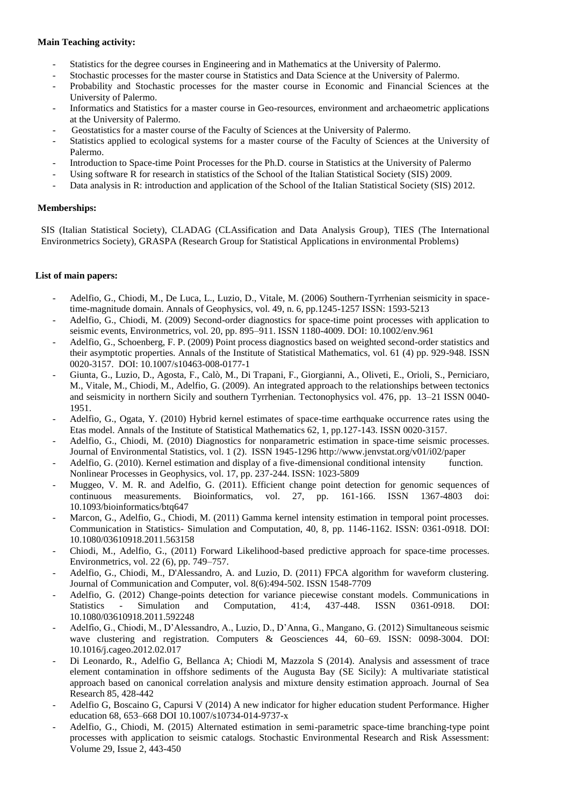#### **Main Teaching activity:**

- Statistics for the degree courses in Engineering and in Mathematics at the University of Palermo.
- Stochastic processes for the master course in Statistics and Data Science at the University of Palermo.
- Probability and Stochastic processes for the master course in Economic and Financial Sciences at the University of Palermo.
- Informatics and Statistics for a master course in Geo-resources, environment and archaeometric applications at the University of Palermo.
- Geostatistics for a [master course of the Faculty of Sciences](http://www.scienze.unipa.it/geologiaapplicazioniterritorio/) at the University of Palermo.
- Statistics applied to ecological systems for a [master course of the Faculty of Sciences](http://www.scienze.unipa.it/geologiaapplicazioniterritorio/) at the University of Palermo.
- Introduction to Space-time Point Processes for the Ph.D. course in Statistics at the University of Palermo
- Using software R for research in statistics of the School of the Italian Statistical Society (SIS) 2009.
- Data analysis in R: introduction and application of the School of the Italian Statistical Society (SIS) 2012.

#### **Memberships:**

SIS (Italian Statistical Society), CLADAG (CLAssification and Data Analysis Group), TIES (The International Environmetrics Society), GRASPA (Research Group for Statistical Applications in environmental Problems)

#### **List of main papers:**

- Adelfio, G., Chiodi, M., De Luca, L., Luzio, D., Vitale, M. (2006) Southern-Tyrrhenian seismicity in spacetime-magnitude domain. Annals of Geophysics, vol. 49, n. 6, pp.1245-1257 ISSN: 1593-5213
- Adelfio, G., Chiodi, M. (2009) Second-order diagnostics for space-time point processes with application to seismic events, Environmetrics, vol. 20, pp. 895–911. ISSN 1180-4009. DOI: 10.1002/env.961
- Adelfio, G., Schoenberg, F. P. (2009) Point process diagnostics based on weighted second-order statistics and their asymptotic properties. Annals of the Institute of Statistical Mathematics, vol. 61 (4) pp. 929-948. ISSN 0020-3157. DOI: 10.1007/s10463-008-0177-1
- Giunta, G., Luzio, D., Agosta, F., Calò, M., Di Trapani, F., Giorgianni, A., Oliveti, E., Orioli, S., Perniciaro, M., Vitale, M., Chiodi, M., Adelfio, G. (2009). An integrated approach to the relationships between tectonics and seismicity in northern Sicily and southern Tyrrhenian. Tectonophysics vol. 476, pp. 13–21 ISSN 0040- 1951.
- Adelfio, G., Ogata, Y. (2010) Hybrid kernel estimates of space-time earthquake occurrence rates using the Etas model. Annals of the Institute of Statistical Mathematics 62, 1, pp.127-143. ISSN 0020-3157.
- Adelfio, G., Chiodi, M. (2010) Diagnostics for nonparametric estimation in space-time seismic processes. Journal of Environmental Statistics, vol. 1 (2). ISSN 1945-1296 <http://www.jenvstat.org/v01/i02/paper>
- Adelfio, G. (2010). Kernel estimation and display of a five-dimensional conditional intensity function. Nonlinear Processes in Geophysics, vol. 17, pp. 237-244. ISSN: 1023-5809
- Muggeo, V. M. R. and Adelfio, G. (2011). Efficient change point detection for genomic sequences of continuous measurements. Bioinformatics, vol. 27, pp. 161-166. ISSN 1367-4803 doi: 10.1093/bioinformatics/btq647
- Marcon, G., Adelfio, G., Chiodi, M. (2011) Gamma kernel intensity estimation in temporal point processes. Communication in Statistics- Simulation and Computation, 40, 8, pp. 1146-1162. ISSN: 0361-0918. DOI: 10.1080/03610918.2011.563158
- Chiodi, M., Adelfio, G., (2011) Forward Likelihood-based predictive approach for space-time processes. Environmetrics, vol. 22 (6), pp. 749–757.
- Adelfio, G., Chiodi, M., D'Alessandro, A. and Luzio, D. (2011) FPCA algorithm for waveform clustering. Journal of Communication and Computer, vol. 8(6):494-502. ISSN 1548-7709
- Adelfio, G. (2012) Change-points detection for variance piecewise constant models. Communications in Statistics - Simulation and Computation, 41:4, 437-448. ISSN 0361-0918. DOI: 10.1080/03610918.2011.592248
- Adelfio, G., Chiodi, M., D'Alessandro, A., Luzio, D., D'Anna, G., Mangano, G. (2012) Simultaneous seismic wave clustering and registration. Computers & Geosciences 44, 60–69. ISSN: 0098-3004. DOI: 10.1016/j.cageo.2012.02.017
- Di Leonardo, R., Adelfio G, Bellanca A; Chiodi M, Mazzola S (2014). Analysis and assessment of trace element contamination in offshore sediments of the Augusta Bay (SE Sicily): A multivariate statistical approach based on canonical correlation analysis and mixture density estimation approach. Journal of Sea Research 85, 428-442
- Adelfio G, Boscaino G, Capursi V (2014) A new indicator for higher education student Performance. Higher education 68, 653–668 DOI 10.1007/s10734-014-9737-x
- Adelfio, G., Chiodi, M. (2015) Alternated estimation in semi-parametric space-time branching-type point processes with application to seismic catalogs. Stochastic Environmental Research and Risk Assessment: Volume 29, Issue 2, 443-450